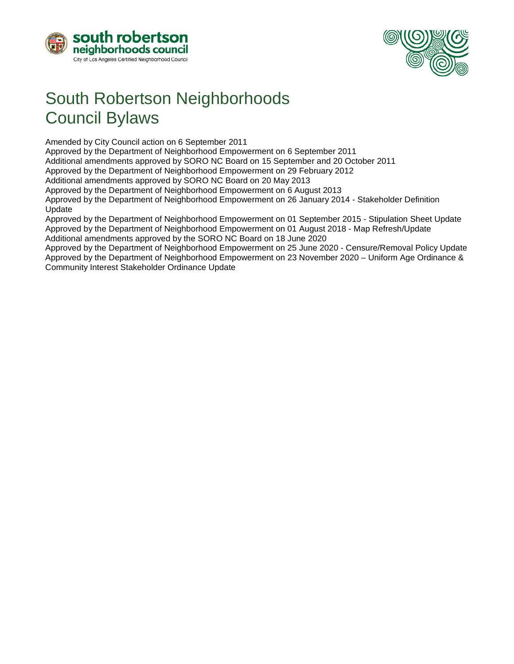



# South Robertson Neighborhoods Council Bylaws

Amended by City Council action on 6 September 2011

Approved by the Department of Neighborhood Empowerment on 6 September 2011

Additional amendments approved by SORO NC Board on 15 September and 20 October 2011

Approved by the Department of Neighborhood Empowerment on 29 February 2012

Additional amendments approved by SORO NC Board on 20 May 2013

Approved by the Department of Neighborhood Empowerment on 6 August 2013

Approved by the Department of Neighborhood Empowerment on 26 January 2014 - Stakeholder Definition Update

Approved by the Department of Neighborhood Empowerment on 01 September 2015 - Stipulation Sheet Update Approved by the Department of Neighborhood Empowerment on 01 August 2018 - Map Refresh/Update Additional amendments approved by the SORO NC Board on 18 June 2020

Approved by the Department of Neighborhood Empowerment on 25 June 2020 - Censure/Removal Policy Update Approved by the Department of Neighborhood Empowerment on 23 November 2020 – Uniform Age Ordinance & Community Interest Stakeholder Ordinance Update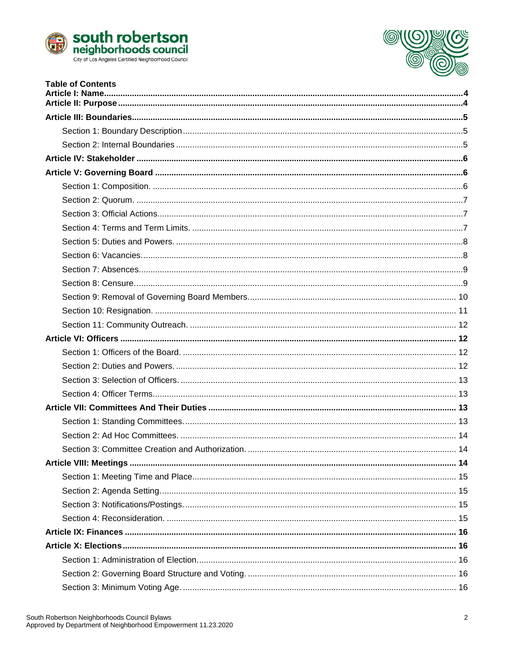



| <b>Table of Contents</b> |  |
|--------------------------|--|
|                          |  |
|                          |  |
|                          |  |
|                          |  |
|                          |  |
|                          |  |
|                          |  |
|                          |  |
|                          |  |
|                          |  |
|                          |  |
|                          |  |
|                          |  |
|                          |  |
|                          |  |
|                          |  |
|                          |  |
|                          |  |
|                          |  |
|                          |  |
|                          |  |
|                          |  |
|                          |  |
|                          |  |
|                          |  |
|                          |  |
|                          |  |
|                          |  |
|                          |  |
|                          |  |
|                          |  |
|                          |  |
|                          |  |
|                          |  |
|                          |  |
|                          |  |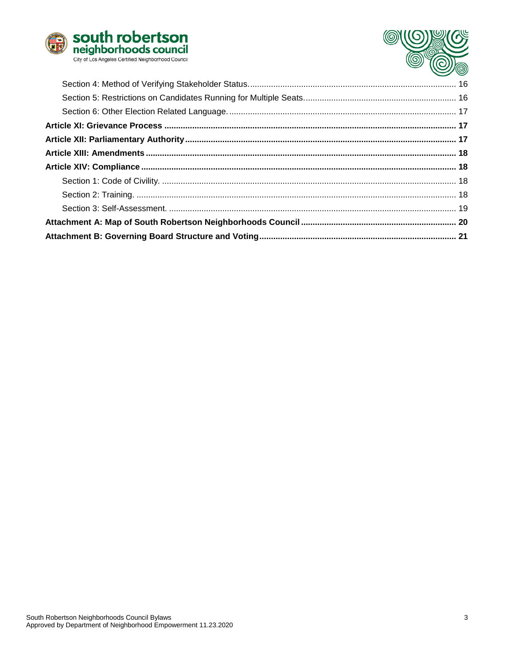

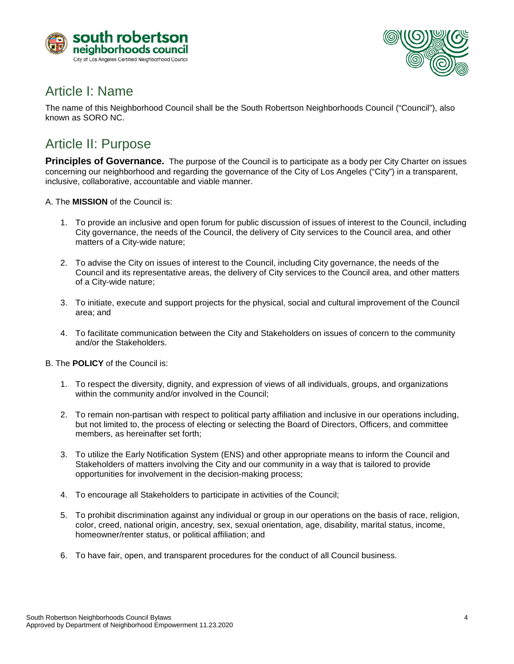



### <span id="page-3-0"></span>Article I: Name

The name of this Neighborhood Council shall be the South Robertson Neighborhoods Council ("Council"), also known as SORO NC.

### <span id="page-3-1"></span>Article II: Purpose

**Principles of Governance.** The purpose of the Council is to participate as a body per City Charter on issues concerning our neighborhood and regarding the governance of the City of Los Angeles ("City") in a transparent, inclusive, collaborative, accountable and viable manner.

A. The **MISSION** of the Council is:

- 1. To provide an inclusive and open forum for public discussion of issues of interest to the Council, including City governance, the needs of the Council, the delivery of City services to the Council area, and other matters of a City-wide nature;
- 2. To advise the City on issues of interest to the Council, including City governance, the needs of the Council and its representative areas, the delivery of City services to the Council area, and other matters of a City-wide nature;
- 3. To initiate, execute and support projects for the physical, social and cultural improvement of the Council area; and
- 4. To facilitate communication between the City and Stakeholders on issues of concern to the community and/or the Stakeholders.
- B. The **POLICY** of the Council is:
	- 1. To respect the diversity, dignity, and expression of views of all individuals, groups, and organizations within the community and/or involved in the Council;
	- 2. To remain non-partisan with respect to political party affiliation and inclusive in our operations including, but not limited to, the process of electing or selecting the Board of Directors, Officers, and committee members, as hereinafter set forth;
	- 3. To utilize the Early Notification System (ENS) and other appropriate means to inform the Council and Stakeholders of matters involving the City and our community in a way that is tailored to provide opportunities for involvement in the decision-making process;
	- 4. To encourage all Stakeholders to participate in activities of the Council;
	- 5. To prohibit discrimination against any individual or group in our operations on the basis of race, religion, color, creed, national origin, ancestry, sex, sexual orientation, age, disability, marital status, income, homeowner/renter status, or political affiliation; and
	- 6. To have fair, open, and transparent procedures for the conduct of all Council business.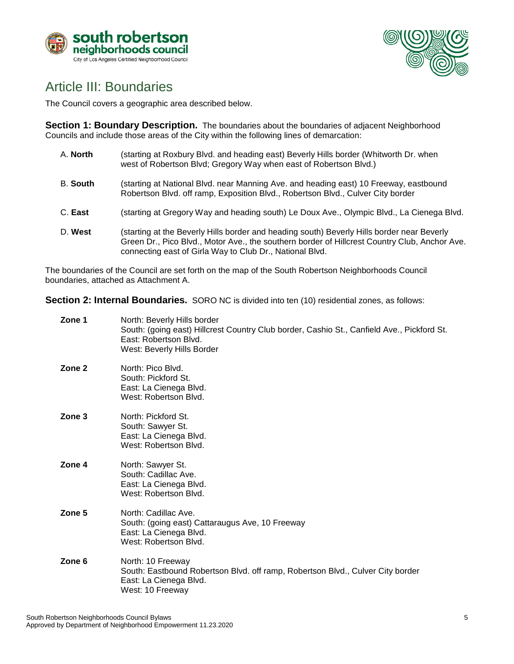



### <span id="page-4-0"></span>Article III: Boundaries

The Council covers a geographic area described below.

<span id="page-4-1"></span>**Section 1: Boundary Description.** The boundaries about the boundaries of adjacent Neighborhood Councils and include those areas of the City within the following lines of demarcation:

- A. **North** (starting at Roxbury Blvd. and heading east) Beverly Hills border (Whitworth Dr. when west of Robertson Blvd; Gregory Way when east of Robertson Blvd.) B. **South** (starting at National Blvd. near Manning Ave. and heading east) 10 Freeway, eastbound Robertson Blvd. off ramp, Exposition Blvd., Robertson Blvd., Culver City border
- C. **East** (starting at Gregory Way and heading south) Le Doux Ave., Olympic Blvd., La Cienega Blvd.
- D. **West** (starting at the Beverly Hills border and heading south) Beverly Hills border near Beverly Green Dr., Pico Blvd., Motor Ave., the southern border of Hillcrest Country Club, Anchor Ave. connecting east of Girla Way to Club Dr., National Blvd.

The boundaries of the Council are set forth on the map of the South Robertson Neighborhoods Council boundaries, attached as Attachment A.

<span id="page-4-2"></span>**Section 2: Internal Boundaries.** SORO NC is divided into ten (10) residential zones, as follows:

| Zone 1 | North: Beverly Hills border<br>South: (going east) Hillcrest Country Club border, Cashio St., Canfield Ave., Pickford St.<br>East: Robertson Blvd.<br>West: Beverly Hills Border |
|--------|----------------------------------------------------------------------------------------------------------------------------------------------------------------------------------|
| Zone 2 | North: Pico Blvd.<br>South: Pickford St.<br>East: La Cienega Blvd.<br>West: Robertson Blvd.                                                                                      |
| Zone 3 | North: Pickford St.<br>South: Sawyer St.<br>East: La Cienega Blvd.<br>West: Robertson Blvd.                                                                                      |
| Zone 4 | North: Sawyer St.<br>South: Cadillac Ave.<br>East: La Cienega Blvd.<br>West: Robertson Blvd.                                                                                     |
| Zone 5 | North: Cadillac Ave.<br>South: (going east) Cattaraugus Ave, 10 Freeway<br>East: La Cienega Blvd.<br>West: Robertson Blvd.                                                       |
| Zone 6 | North: 10 Freeway<br>South: Eastbound Robertson Blvd. off ramp, Robertson Blvd., Culver City border<br>East: La Cienega Blvd.<br>West: 10 Freeway                                |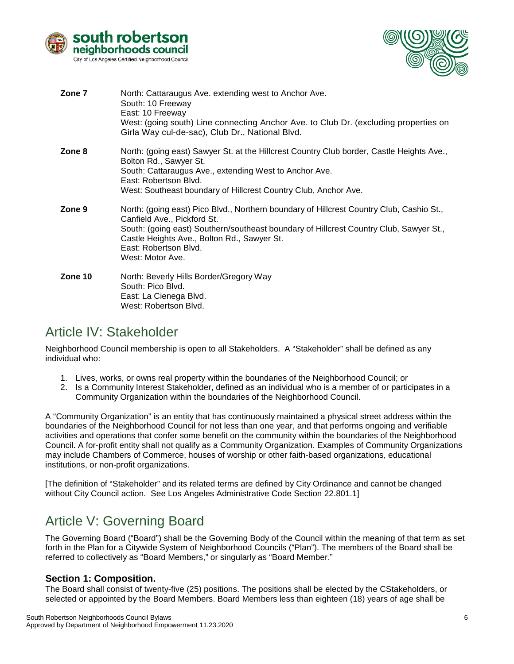



| Zone 7  | North: Cattaraugus Ave. extending west to Anchor Ave.<br>South: 10 Freeway<br>East: 10 Freeway<br>West: (going south) Line connecting Anchor Ave. to Club Dr. (excluding properties on<br>Girla Way cul-de-sac), Club Dr., National Blvd.                                                                     |
|---------|---------------------------------------------------------------------------------------------------------------------------------------------------------------------------------------------------------------------------------------------------------------------------------------------------------------|
| Zone 8  | North: (going east) Sawyer St. at the Hillcrest Country Club border, Castle Heights Ave.,<br>Bolton Rd., Sawyer St.<br>South: Cattaraugus Ave., extending West to Anchor Ave.<br>East: Robertson Blvd.<br>West: Southeast boundary of Hillcrest Country Club, Anchor Ave.                                     |
| Zone 9  | North: (going east) Pico Blvd., Northern boundary of Hillcrest Country Club, Cashio St.,<br>Canfield Ave., Pickford St.<br>South: (going east) Southern/southeast boundary of Hillcrest Country Club, Sawyer St.,<br>Castle Heights Ave., Bolton Rd., Sawyer St.<br>East: Robertson Blvd.<br>West: Motor Ave. |
| Zone 10 | North: Beverly Hills Border/Gregory Way<br>South: Pico Blvd.<br>East: La Cienega Blvd.<br>West: Robertson Blvd.                                                                                                                                                                                               |

### <span id="page-5-0"></span>Article IV: Stakeholder

Neighborhood Council membership is open to all Stakeholders. A "Stakeholder" shall be defined as any individual who:

- 1. Lives, works, or owns real property within the boundaries of the Neighborhood Council; or
- 2. Is a Community Interest Stakeholder, defined as an individual who is a member of or participates in a Community Organization within the boundaries of the Neighborhood Council.

A "Community Organization" is an entity that has continuously maintained a physical street address within the boundaries of the Neighborhood Council for not less than one year, and that performs ongoing and verifiable activities and operations that confer some benefit on the community within the boundaries of the Neighborhood Council. A for-profit entity shall not qualify as a Community Organization. Examples of Community Organizations may include Chambers of Commerce, houses of worship or other faith-based organizations, educational institutions, or non-profit organizations.

[The definition of "Stakeholder" and its related terms are defined by City Ordinance and cannot be changed without City Council action. See Los Angeles Administrative Code Section 22.801.1]

# <span id="page-5-1"></span>Article V: Governing Board

The Governing Board ("Board") shall be the Governing Body of the Council within the meaning of that term as set forth in the Plan for a Citywide System of Neighborhood Councils ("Plan"). The members of the Board shall be referred to collectively as "Board Members," or singularly as "Board Member."

#### <span id="page-5-2"></span>**Section 1: Composition.**

The Board shall consist of twenty-five (25) positions. The positions shall be elected by the CStakeholders, or selected or appointed by the Board Members. Board Members less than eighteen (18) years of age shall be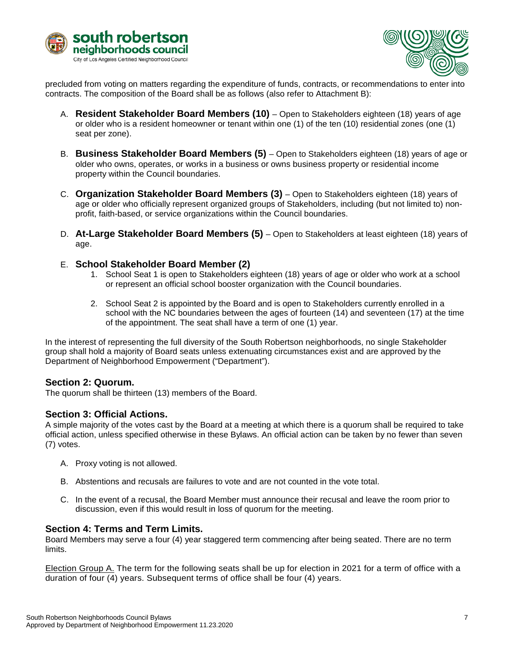



precluded from voting on matters regarding the expenditure of funds, contracts, or recommendations to enter into contracts. The composition of the Board shall be as follows (also refer to Attachment B):

- A. **Resident Stakeholder Board Members (10)** Open to Stakeholders eighteen (18) years of age or older who is a resident homeowner or tenant within one (1) of the ten (10) residential zones (one (1) seat per zone).
- B. **Business Stakeholder Board Members (5)** Open to Stakeholders eighteen (18) years of age or older who owns, operates, or works in a business or owns business property or residential income property within the Council boundaries.
- C. **Organization Stakeholder Board Members (3)** Open to Stakeholders eighteen (18) years of age or older who officially represent organized groups of Stakeholders, including (but not limited to) nonprofit, faith-based, or service organizations within the Council boundaries.
- D. **At-Large Stakeholder Board Members (5)** Open to Stakeholders at least eighteen (18) years of age.
- E. **School Stakeholder Board Member (2)**
	- 1. School Seat 1 is open to Stakeholders eighteen (18) years of age or older who work at a school or represent an official school booster organization with the Council boundaries.
	- 2. School Seat 2 is appointed by the Board and is open to Stakeholders currently enrolled in a school with the NC boundaries between the ages of fourteen (14) and seventeen (17) at the time of the appointment. The seat shall have a term of one (1) year.

In the interest of representing the full diversity of the South Robertson neighborhoods, no single Stakeholder group shall hold a majority of Board seats unless extenuating circumstances exist and are approved by the Department of Neighborhood Empowerment ("Department").

#### <span id="page-6-0"></span>**Section 2: Quorum.**

The quorum shall be thirteen (13) members of the Board.

#### <span id="page-6-1"></span>**Section 3: Official Actions.**

A simple majority of the votes cast by the Board at a meeting at which there is a quorum shall be required to take official action, unless specified otherwise in these Bylaws. An official action can be taken by no fewer than seven (7) votes.

- A. Proxy voting is not allowed.
- B. Abstentions and recusals are failures to vote and are not counted in the vote total.
- C. In the event of a recusal, the Board Member must announce their recusal and leave the room prior to discussion, even if this would result in loss of quorum for the meeting.

#### <span id="page-6-2"></span>**Section 4: Terms and Term Limits.**

Board Members may serve a four (4) year staggered term commencing after being seated. There are no term limits.

Election Group A. The term for the following seats shall be up for election in 2021 for a term of office with a duration of four (4) years. Subsequent terms of office shall be four (4) years.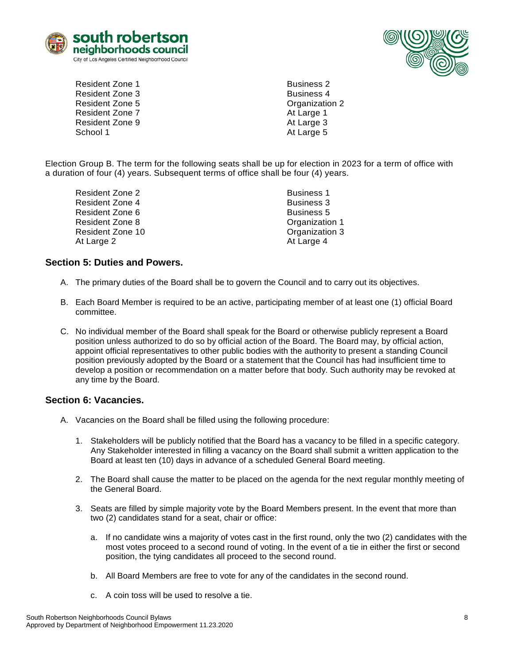



- Resident Zone 1 and 2008 and 2009 and 2009 and 2009 and 2009 and 2009 and 2009 and 2009 and 2009 and 2009 and 2009 and 2009 and 2009 and 2009 and 2009 and 2009 and 2009 and 2009 and 2009 and 2009 and 2009 and 2009 and 2009 Resident Zone 3 and 2008 and 2012 and 2012 and 2013 and 2014 and 2013 and 2014 and 2014 and 2014 and 2014 and 2014 and 2014 and 2014 and 2014 and 2014 and 2014 and 2014 and 2014 and 2014 and 2014 and 2014 and 2014 and 2014 Resident Zone 5 Contract Contract Contract Contract Contract Contract Contract Contract Contract Contract Contract Contract Contract Contract Contract Contract Contract Contract Contract Contract Contract Contract Contract Resident Zone 7 At Large 1 Resident Zone 9 At Large 3 School 1 At Large 5
	-

Election Group B. The term for the following seats shall be up for election in 2023 for a term of office with a duration of four (4) years. Subsequent terms of office shall be four (4) years.

| <b>Business 1</b> |
|-------------------|
| <b>Business 3</b> |
| <b>Business 5</b> |
| Organization 1    |
| Organization 3    |
| At Large 4        |
|                   |

#### <span id="page-7-0"></span>**Section 5: Duties and Powers.**

- A. The primary duties of the Board shall be to govern the Council and to carry out its objectives.
- B. Each Board Member is required to be an active, participating member of at least one (1) official Board committee.
- C. No individual member of the Board shall speak for the Board or otherwise publicly represent a Board position unless authorized to do so by official action of the Board. The Board may, by official action, appoint official representatives to other public bodies with the authority to present a standing Council position previously adopted by the Board or a statement that the Council has had insufficient time to develop a position or recommendation on a matter before that body. Such authority may be revoked at any time by the Board.

#### <span id="page-7-1"></span>**Section 6: Vacancies.**

- A. Vacancies on the Board shall be filled using the following procedure:
	- 1. Stakeholders will be publicly notified that the Board has a vacancy to be filled in a specific category. Any Stakeholder interested in filling a vacancy on the Board shall submit a written application to the Board at least ten (10) days in advance of a scheduled General Board meeting.
	- 2. The Board shall cause the matter to be placed on the agenda for the next regular monthly meeting of the General Board.
	- 3. Seats are filled by simple majority vote by the Board Members present. In the event that more than two (2) candidates stand for a seat, chair or office:
		- a. If no candidate wins a majority of votes cast in the first round, only the two (2) candidates with the most votes proceed to a second round of voting. In the event of a tie in either the first or second position, the tying candidates all proceed to the second round.
		- b. All Board Members are free to vote for any of the candidates in the second round.
		- c. A coin toss will be used to resolve a tie.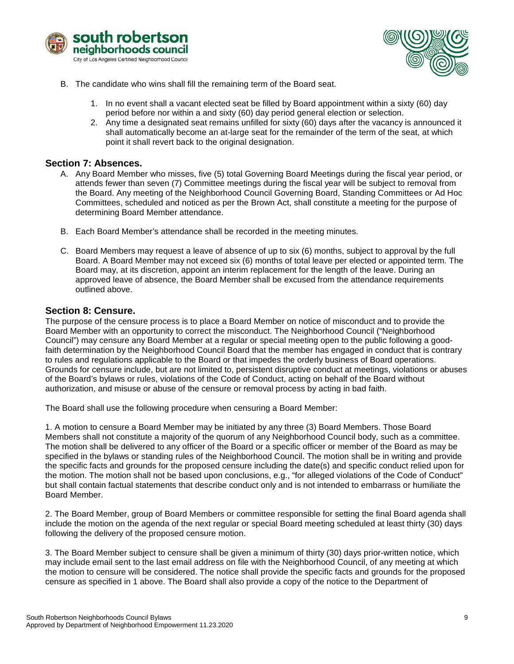



- B. The candidate who wins shall fill the remaining term of the Board seat.
	- 1. In no event shall a vacant elected seat be filled by Board appointment within a sixty (60) day period before nor within a and sixty (60) day period general election or selection.
	- 2. Any time a designated seat remains unfilled for sixty (60) days after the vacancy is announced it shall automatically become an at-large seat for the remainder of the term of the seat, at which point it shall revert back to the original designation.

#### <span id="page-8-0"></span>**Section 7: Absences.**

- A. Any Board Member who misses, five (5) total Governing Board Meetings during the fiscal year period, or attends fewer than seven (7) Committee meetings during the fiscal year will be subject to removal from the Board. Any meeting of the Neighborhood Council Governing Board, Standing Committees or Ad Hoc Committees, scheduled and noticed as per the Brown Act, shall constitute a meeting for the purpose of determining Board Member attendance.
- B. Each Board Member's attendance shall be recorded in the meeting minutes.
- C. Board Members may request a leave of absence of up to six (6) months, subject to approval by the full Board. A Board Member may not exceed six (6) months of total leave per elected or appointed term. The Board may, at its discretion, appoint an interim replacement for the length of the leave. During an approved leave of absence, the Board Member shall be excused from the attendance requirements outlined above.

#### <span id="page-8-1"></span>**Section 8: Censure.**

The purpose of the censure process is to place a Board Member on notice of misconduct and to provide the Board Member with an opportunity to correct the misconduct. The Neighborhood Council ("Neighborhood Council") may censure any Board Member at a regular or special meeting open to the public following a goodfaith determination by the Neighborhood Council Board that the member has engaged in conduct that is contrary to rules and regulations applicable to the Board or that impedes the orderly business of Board operations. Grounds for censure include, but are not limited to, persistent disruptive conduct at meetings, violations or abuses of the Board's bylaws or rules, violations of the Code of Conduct, acting on behalf of the Board without authorization, and misuse or abuse of the censure or removal process by acting in bad faith.

The Board shall use the following procedure when censuring a Board Member:

1. A motion to censure a Board Member may be initiated by any three (3) Board Members. Those Board Members shall not constitute a majority of the quorum of any Neighborhood Council body, such as a committee. The motion shall be delivered to any officer of the Board or a specific officer or member of the Board as may be specified in the bylaws or standing rules of the Neighborhood Council. The motion shall be in writing and provide the specific facts and grounds for the proposed censure including the date(s) and specific conduct relied upon for the motion. The motion shall not be based upon conclusions, e.g., "for alleged violations of the Code of Conduct" but shall contain factual statements that describe conduct only and is not intended to embarrass or humiliate the Board Member.

2. The Board Member, group of Board Members or committee responsible for setting the final Board agenda shall include the motion on the agenda of the next regular or special Board meeting scheduled at least thirty (30) days following the delivery of the proposed censure motion.

3. The Board Member subject to censure shall be given a minimum of thirty (30) days prior-written notice, which may include email sent to the last email address on file with the Neighborhood Council, of any meeting at which the motion to censure will be considered. The notice shall provide the specific facts and grounds for the proposed censure as specified in 1 above. The Board shall also provide a copy of the notice to the Department of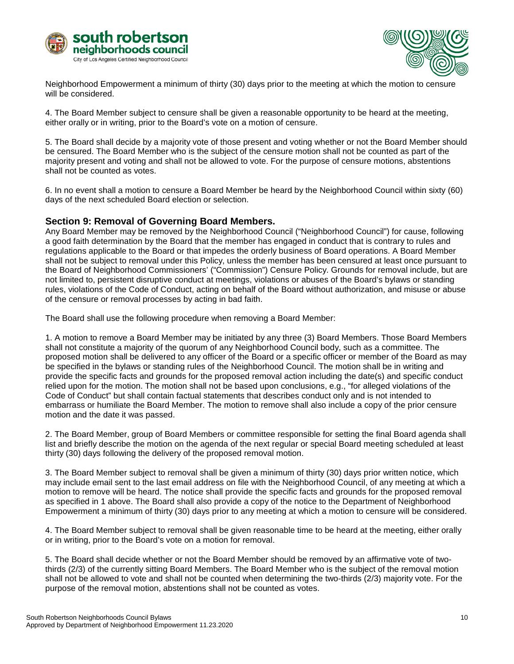



Neighborhood Empowerment a minimum of thirty (30) days prior to the meeting at which the motion to censure will be considered.

4. The Board Member subject to censure shall be given a reasonable opportunity to be heard at the meeting, either orally or in writing, prior to the Board's vote on a motion of censure.

5. The Board shall decide by a majority vote of those present and voting whether or not the Board Member should be censured. The Board Member who is the subject of the censure motion shall not be counted as part of the majority present and voting and shall not be allowed to vote. For the purpose of censure motions, abstentions shall not be counted as votes.

6. In no event shall a motion to censure a Board Member be heard by the Neighborhood Council within sixty (60) days of the next scheduled Board election or selection.

#### <span id="page-9-0"></span>**Section 9: Removal of Governing Board Members.**

Any Board Member may be removed by the Neighborhood Council ("Neighborhood Council") for cause, following a good faith determination by the Board that the member has engaged in conduct that is contrary to rules and regulations applicable to the Board or that impedes the orderly business of Board operations. A Board Member shall not be subject to removal under this Policy, unless the member has been censured at least once pursuant to the Board of Neighborhood Commissioners' ("Commission") Censure Policy. Grounds for removal include, but are not limited to, persistent disruptive conduct at meetings, violations or abuses of the Board's bylaws or standing rules, violations of the Code of Conduct, acting on behalf of the Board without authorization, and misuse or abuse of the censure or removal processes by acting in bad faith.

The Board shall use the following procedure when removing a Board Member:

1. A motion to remove a Board Member may be initiated by any three (3) Board Members. Those Board Members shall not constitute a majority of the quorum of any Neighborhood Council body, such as a committee. The proposed motion shall be delivered to any officer of the Board or a specific officer or member of the Board as may be specified in the bylaws or standing rules of the Neighborhood Council. The motion shall be in writing and provide the specific facts and grounds for the proposed removal action including the date(s) and specific conduct relied upon for the motion. The motion shall not be based upon conclusions, e.g., "for alleged violations of the Code of Conduct" but shall contain factual statements that describes conduct only and is not intended to embarrass or humiliate the Board Member. The motion to remove shall also include a copy of the prior censure motion and the date it was passed.

2. The Board Member, group of Board Members or committee responsible for setting the final Board agenda shall list and briefly describe the motion on the agenda of the next regular or special Board meeting scheduled at least thirty (30) days following the delivery of the proposed removal motion.

3. The Board Member subject to removal shall be given a minimum of thirty (30) days prior written notice, which may include email sent to the last email address on file with the Neighborhood Council, of any meeting at which a motion to remove will be heard. The notice shall provide the specific facts and grounds for the proposed removal as specified in 1 above. The Board shall also provide a copy of the notice to the Department of Neighborhood Empowerment a minimum of thirty (30) days prior to any meeting at which a motion to censure will be considered.

4. The Board Member subject to removal shall be given reasonable time to be heard at the meeting, either orally or in writing, prior to the Board's vote on a motion for removal.

5. The Board shall decide whether or not the Board Member should be removed by an affirmative vote of twothirds (2/3) of the currently sitting Board Members. The Board Member who is the subject of the removal motion shall not be allowed to vote and shall not be counted when determining the two-thirds (2/3) majority vote. For the purpose of the removal motion, abstentions shall not be counted as votes.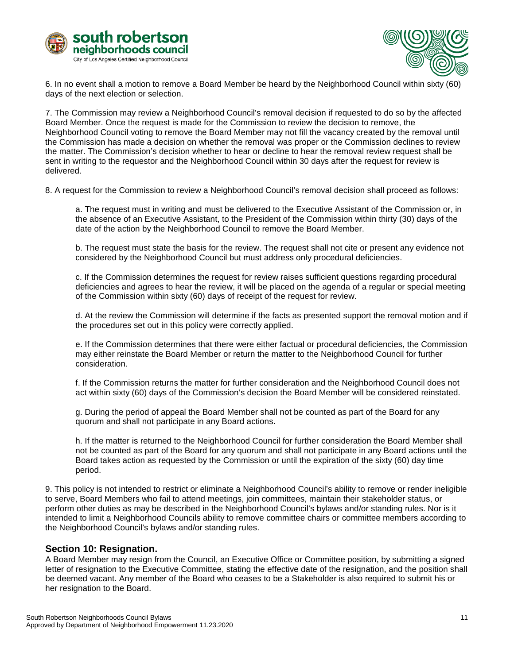



6. In no event shall a motion to remove a Board Member be heard by the Neighborhood Council within sixty (60) days of the next election or selection.

7. The Commission may review a Neighborhood Council's removal decision if requested to do so by the affected Board Member. Once the request is made for the Commission to review the decision to remove, the Neighborhood Council voting to remove the Board Member may not fill the vacancy created by the removal until the Commission has made a decision on whether the removal was proper or the Commission declines to review the matter. The Commission's decision whether to hear or decline to hear the removal review request shall be sent in writing to the requestor and the Neighborhood Council within 30 days after the request for review is delivered.

8. A request for the Commission to review a Neighborhood Council's removal decision shall proceed as follows:

a. The request must in writing and must be delivered to the Executive Assistant of the Commission or, in the absence of an Executive Assistant, to the President of the Commission within thirty (30) days of the date of the action by the Neighborhood Council to remove the Board Member.

b. The request must state the basis for the review. The request shall not cite or present any evidence not considered by the Neighborhood Council but must address only procedural deficiencies.

c. If the Commission determines the request for review raises sufficient questions regarding procedural deficiencies and agrees to hear the review, it will be placed on the agenda of a regular or special meeting of the Commission within sixty (60) days of receipt of the request for review.

d. At the review the Commission will determine if the facts as presented support the removal motion and if the procedures set out in this policy were correctly applied.

e. If the Commission determines that there were either factual or procedural deficiencies, the Commission may either reinstate the Board Member or return the matter to the Neighborhood Council for further consideration.

f. If the Commission returns the matter for further consideration and the Neighborhood Council does not act within sixty (60) days of the Commission's decision the Board Member will be considered reinstated.

g. During the period of appeal the Board Member shall not be counted as part of the Board for any quorum and shall not participate in any Board actions.

h. If the matter is returned to the Neighborhood Council for further consideration the Board Member shall not be counted as part of the Board for any quorum and shall not participate in any Board actions until the Board takes action as requested by the Commission or until the expiration of the sixty (60) day time period.

9. This policy is not intended to restrict or eliminate a Neighborhood Council's ability to remove or render ineligible to serve, Board Members who fail to attend meetings, join committees, maintain their stakeholder status, or perform other duties as may be described in the Neighborhood Council's bylaws and/or standing rules. Nor is it intended to limit a Neighborhood Councils ability to remove committee chairs or committee members according to the Neighborhood Council's bylaws and/or standing rules.

#### <span id="page-10-0"></span>**Section 10: Resignation.**

A Board Member may resign from the Council, an Executive Office or Committee position, by submitting a signed letter of resignation to the Executive Committee, stating the effective date of the resignation, and the position shall be deemed vacant. Any member of the Board who ceases to be a Stakeholder is also required to submit his or her resignation to the Board.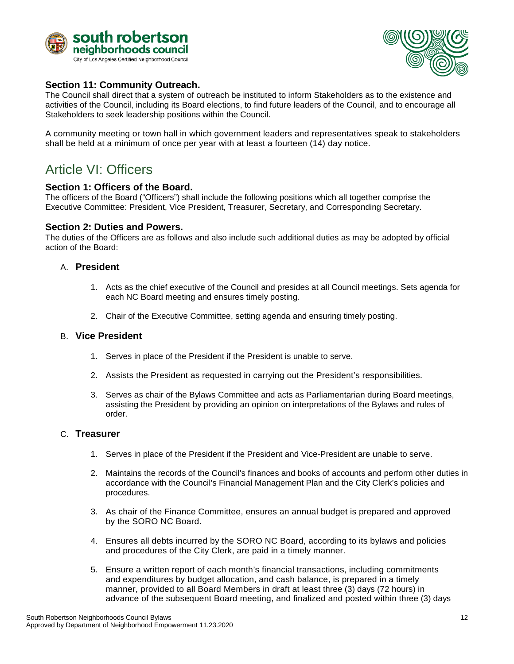



#### <span id="page-11-0"></span>**Section 11: Community Outreach.**

The Council shall direct that a system of outreach be instituted to inform Stakeholders as to the existence and activities of the Council, including its Board elections, to find future leaders of the Council, and to encourage all Stakeholders to seek leadership positions within the Council.

A community meeting or town hall in which government leaders and representatives speak to stakeholders shall be held at a minimum of once per year with at least a fourteen (14) day notice.

### <span id="page-11-1"></span>Article VI: Officers

#### <span id="page-11-2"></span>**Section 1: Officers of the Board.**

The officers of the Board ("Officers") shall include the following positions which all together comprise the Executive Committee: President, Vice President, Treasurer, Secretary, and Corresponding Secretary.

#### <span id="page-11-3"></span>**Section 2: Duties and Powers.**

The duties of the Officers are as follows and also include such additional duties as may be adopted by official action of the Board:

#### A. **President**

- 1. Acts as the chief executive of the Council and presides at all Council meetings. Sets agenda for each NC Board meeting and ensures timely posting.
- 2. Chair of the Executive Committee, setting agenda and ensuring timely posting.

#### B. **Vice President**

- 1. Serves in place of the President if the President is unable to serve.
- 2. Assists the President as requested in carrying out the President's responsibilities.
- 3. Serves as chair of the Bylaws Committee and acts as Parliamentarian during Board meetings, assisting the President by providing an opinion on interpretations of the Bylaws and rules of order.

#### C. **Treasurer**

- 1. Serves in place of the President if the President and Vice-President are unable to serve.
- 2. Maintains the records of the Council's finances and books of accounts and perform other duties in accordance with the Council's Financial Management Plan and the City Clerk's policies and procedures.
- 3. As chair of the Finance Committee, ensures an annual budget is prepared and approved by the SORO NC Board.
- 4. Ensures all debts incurred by the SORO NC Board, according to its bylaws and policies and procedures of the City Clerk, are paid in a timely manner.
- 5. Ensure a written report of each month's financial transactions, including commitments and expenditures by budget allocation, and cash balance, is prepared in a timely manner, provided to all Board Members in draft at least three (3) days (72 hours) in advance of the subsequent Board meeting, and finalized and posted within three (3) days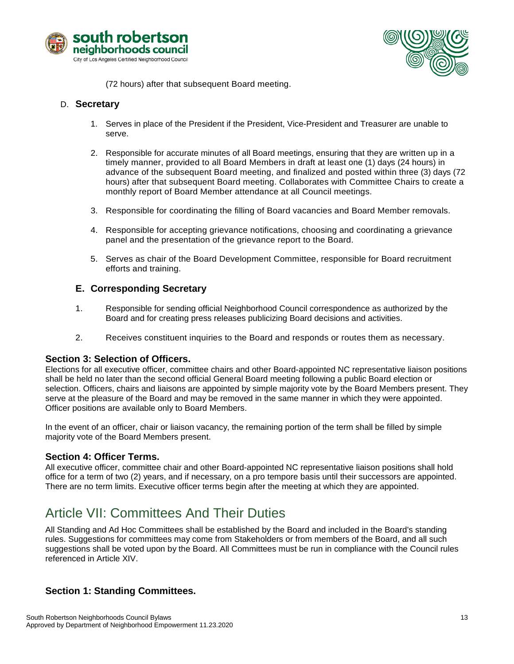



(72 hours) after that subsequent Board meeting.

#### D. **Secretary**

- 1. Serves in place of the President if the President, Vice-President and Treasurer are unable to serve.
- 2. Responsible for accurate minutes of all Board meetings, ensuring that they are written up in a timely manner, provided to all Board Members in draft at least one (1) days (24 hours) in advance of the subsequent Board meeting, and finalized and posted within three (3) days (72 hours) after that subsequent Board meeting. Collaborates with Committee Chairs to create a monthly report of Board Member attendance at all Council meetings.
- 3. Responsible for coordinating the filling of Board vacancies and Board Member removals.
- 4. Responsible for accepting grievance notifications, choosing and coordinating a grievance panel and the presentation of the grievance report to the Board.
- 5. Serves as chair of the Board Development Committee, responsible for Board recruitment efforts and training.

#### **E. Corresponding Secretary**

- 1. Responsible for sending official Neighborhood Council correspondence as authorized by the Board and for creating press releases publicizing Board decisions and activities.
- 2. Receives constituent inquiries to the Board and responds or routes them as necessary.

#### <span id="page-12-0"></span>**Section 3: Selection of Officers.**

Elections for all executive officer, committee chairs and other Board-appointed NC representative liaison positions shall be held no later than the second official General Board meeting following a public Board election or selection. Officers, chairs and liaisons are appointed by simple majority vote by the Board Members present. They serve at the pleasure of the Board and may be removed in the same manner in which they were appointed. Officer positions are available only to Board Members.

In the event of an officer, chair or liaison vacancy, the remaining portion of the term shall be filled by simple majority vote of the Board Members present.

#### <span id="page-12-1"></span>**Section 4: Officer Terms.**

All executive officer, committee chair and other Board-appointed NC representative liaison positions shall hold office for a term of two (2) years, and if necessary, on a pro tempore basis until their successors are appointed. There are no term limits. Executive officer terms begin after the meeting at which they are appointed.

# <span id="page-12-2"></span>Article VII: Committees And Their Duties

All Standing and Ad Hoc Committees shall be established by the Board and included in the Board's standing rules. Suggestions for committees may come from Stakeholders or from members of the Board, and all such suggestions shall be voted upon by the Board. All Committees must be run in compliance with the Council rules referenced in Article XIV.

#### <span id="page-12-3"></span>**Section 1: Standing Committees.**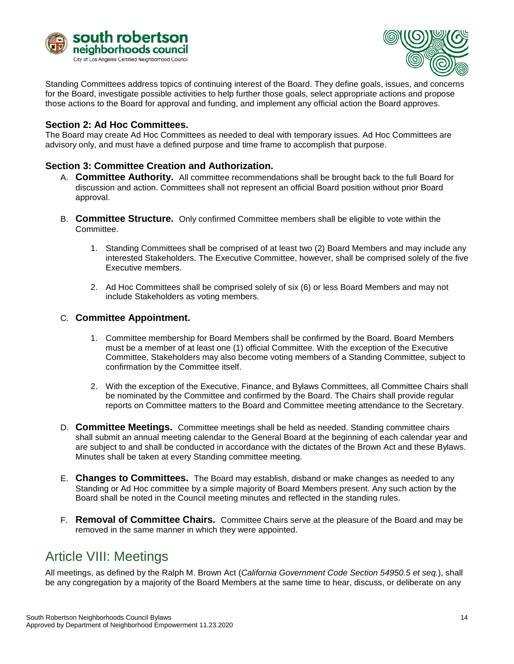



Standing Committees address topics of continuing interest of the Board. They define goals, issues, and concerns for the Board, investigate possible activities to help further those goals, select appropriate actions and propose those actions to the Board for approval and funding, and implement any official action the Board approves.

#### <span id="page-13-0"></span>**Section 2: Ad Hoc Committees.**

The Board may create Ad Hoc Committees as needed to deal with temporary issues. Ad Hoc Committees are advisory only, and must have a defined purpose and time frame to accomplish that purpose.

#### <span id="page-13-1"></span>**Section 3: Committee Creation and Authorization.**

- A. **Committee Authority.** All committee recommendations shall be brought back to the full Board for discussion and action. Committees shall not represent an official Board position without prior Board approval.
- B. **Committee Structure.** Only confirmed Committee members shall be eligible to vote within the Committee.
	- 1. Standing Committees shall be comprised of at least two (2) Board Members and may include any interested Stakeholders. The Executive Committee, however, shall be comprised solely of the five Executive members.
	- 2. Ad Hoc Committees shall be comprised solely of six (6) or less Board Members and may not include Stakeholders as voting members.

#### C. **Committee Appointment.**

- 1. Committee membership for Board Members shall be confirmed by the Board. Board Members must be a member of at least one (1) official Committee. With the exception of the Executive Committee, Stakeholders may also become voting members of a Standing Committee, subject to confirmation by the Committee itself.
- 2. With the exception of the Executive, Finance, and Bylaws Committees, all Committee Chairs shall be nominated by the Committee and confirmed by the Board. The Chairs shall provide regular reports on Committee matters to the Board and Committee meeting attendance to the Secretary.
- D. **Committee Meetings.** Committee meetings shall be held as needed. Standing committee chairs shall submit an annual meeting calendar to the General Board at the beginning of each calendar year and are subject to and shall be conducted in accordance with the dictates of the Brown Act and these Bylaws. Minutes shall be taken at every Standing committee meeting.
- E. **Changes to Committees.** The Board may establish, disband or make changes as needed to any Standing or Ad Hoc committee by a simple majority of Board Members present. Any such action by the Board shall be noted in the Council meeting minutes and reflected in the standing rules.
- F. **Removal of Committee Chairs.** Committee Chairs serve at the pleasure of the Board and may be removed in the same manner in which they were appointed.

### <span id="page-13-2"></span>Article VIII: Meetings

All meetings, as defined by the Ralph M. Brown Act (*California Government Code Section 54950.5 et seq.*), shall be any congregation by a majority of the Board Members at the same time to hear, discuss, or deliberate on any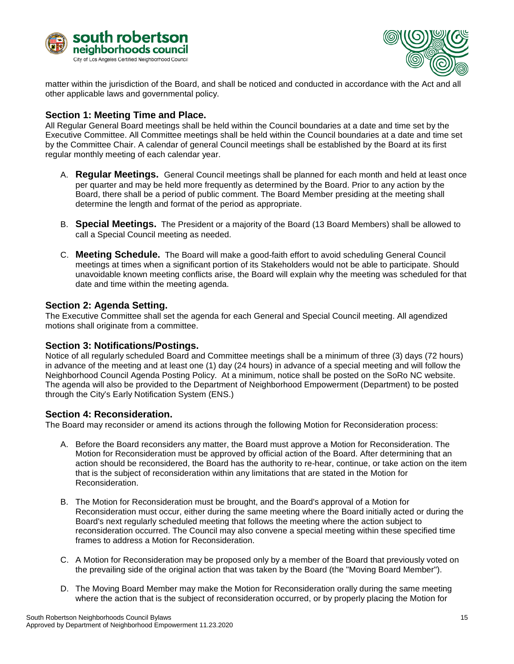



matter within the jurisdiction of the Board, and shall be noticed and conducted in accordance with the Act and all other applicable laws and governmental policy.

#### <span id="page-14-0"></span>**Section 1: Meeting Time and Place.**

All Regular General Board meetings shall be held within the Council boundaries at a date and time set by the Executive Committee. All Committee meetings shall be held within the Council boundaries at a date and time set by the Committee Chair. A calendar of general Council meetings shall be established by the Board at its first regular monthly meeting of each calendar year.

- A. **Regular Meetings.** General Council meetings shall be planned for each month and held at least once per quarter and may be held more frequently as determined by the Board. Prior to any action by the Board, there shall be a period of public comment. The Board Member presiding at the meeting shall determine the length and format of the period as appropriate.
- B. **Special Meetings.** The President or a majority of the Board (13 Board Members) shall be allowed to call a Special Council meeting as needed.
- C. **Meeting Schedule.** The Board will make a good-faith effort to avoid scheduling General Council meetings at times when a significant portion of its Stakeholders would not be able to participate. Should unavoidable known meeting conflicts arise, the Board will explain why the meeting was scheduled for that date and time within the meeting agenda.

#### <span id="page-14-1"></span>**Section 2: Agenda Setting.**

The Executive Committee shall set the agenda for each General and Special Council meeting. All agendized motions shall originate from a committee.

#### <span id="page-14-2"></span>**Section 3: Notifications/Postings.**

Notice of all regularly scheduled Board and Committee meetings shall be a minimum of three (3) days (72 hours) in advance of the meeting and at least one (1) day (24 hours) in advance of a special meeting and will follow the Neighborhood Council Agenda Posting Policy. At a minimum, notice shall be posted on the SoRo NC website. The agenda will also be provided to the Department of Neighborhood Empowerment (Department) to be posted through the City's Early Notification System (ENS.)

#### <span id="page-14-3"></span>**Section 4: Reconsideration.**

The Board may reconsider or amend its actions through the following Motion for Reconsideration process:

- A. Before the Board reconsiders any matter, the Board must approve a Motion for Reconsideration. The Motion for Reconsideration must be approved by official action of the Board. After determining that an action should be reconsidered, the Board has the authority to re-hear, continue, or take action on the item that is the subject of reconsideration within any limitations that are stated in the Motion for Reconsideration.
- B. The Motion for Reconsideration must be brought, and the Board's approval of a Motion for Reconsideration must occur, either during the same meeting where the Board initially acted or during the Board's next regularly scheduled meeting that follows the meeting where the action subject to reconsideration occurred. The Council may also convene a special meeting within these specified time frames to address a Motion for Reconsideration.
- C. A Motion for Reconsideration may be proposed only by a member of the Board that previously voted on the prevailing side of the original action that was taken by the Board (the "Moving Board Member").
- D. The Moving Board Member may make the Motion for Reconsideration orally during the same meeting where the action that is the subject of reconsideration occurred, or by properly placing the Motion for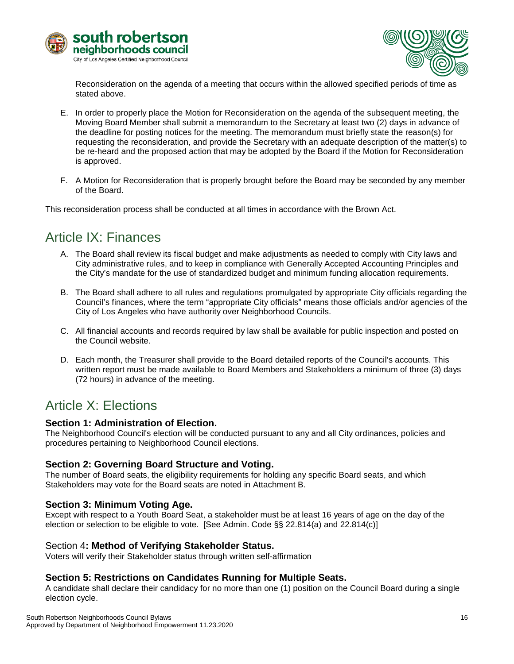



Reconsideration on the agenda of a meeting that occurs within the allowed specified periods of time as stated above.

- E. In order to properly place the Motion for Reconsideration on the agenda of the subsequent meeting, the Moving Board Member shall submit a memorandum to the Secretary at least two (2) days in advance of the deadline for posting notices for the meeting. The memorandum must briefly state the reason(s) for requesting the reconsideration, and provide the Secretary with an adequate description of the matter(s) to be re-heard and the proposed action that may be adopted by the Board if the Motion for Reconsideration is approved.
- F. A Motion for Reconsideration that is properly brought before the Board may be seconded by any member of the Board.

This reconsideration process shall be conducted at all times in accordance with the Brown Act.

### <span id="page-15-0"></span>Article IX: Finances

- A. The Board shall review its fiscal budget and make adjustments as needed to comply with City laws and City administrative rules, and to keep in compliance with Generally Accepted Accounting Principles and the City's mandate for the use of standardized budget and minimum funding allocation requirements.
- B. The Board shall adhere to all rules and regulations promulgated by appropriate City officials regarding the Council's finances, where the term "appropriate City officials" means those officials and/or agencies of the City of Los Angeles who have authority over Neighborhood Councils.
- C. All financial accounts and records required by law shall be available for public inspection and posted on the Council website.
- D. Each month, the Treasurer shall provide to the Board detailed reports of the Council's accounts. This written report must be made available to Board Members and Stakeholders a minimum of three (3) days (72 hours) in advance of the meeting.

### <span id="page-15-1"></span>Article X: Elections

#### <span id="page-15-2"></span>**Section 1: Administration of Election.**

The Neighborhood Council's election will be conducted pursuant to any and all City ordinances, policies and procedures pertaining to Neighborhood Council elections.

#### <span id="page-15-3"></span>**Section 2: Governing Board Structure and Voting.**

The number of Board seats, the eligibility requirements for holding any specific Board seats, and which Stakeholders may vote for the Board seats are noted in Attachment B.

#### <span id="page-15-4"></span>**Section 3: Minimum Voting Age.**

Except with respect to a Youth Board Seat, a stakeholder must be at least 16 years of age on the day of the election or selection to be eligible to vote. [See Admin. Code §§ 22.814(a) and 22.814(c)]

#### <span id="page-15-5"></span>Section 4**: Method of Verifying Stakeholder Status.**

Voters will verify their Stakeholder status through written self-affirmation

#### <span id="page-15-6"></span>**Section 5: Restrictions on Candidates Running for Multiple Seats.**

A candidate shall declare their candidacy for no more than one (1) position on the Council Board during a single election cycle.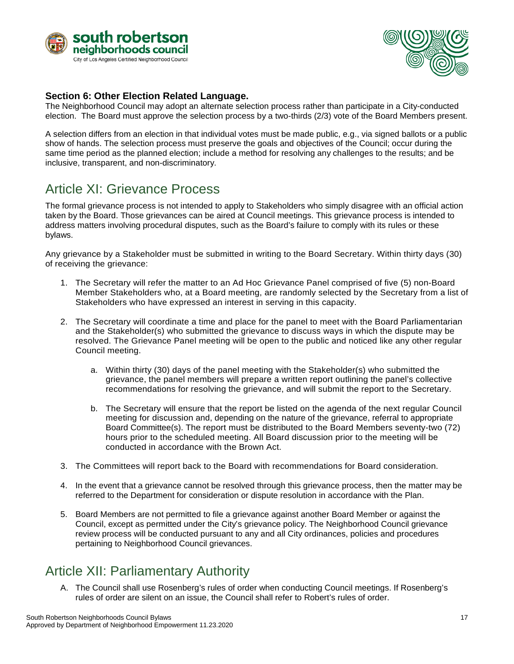



#### <span id="page-16-0"></span>**Section 6: Other Election Related Language.**

The Neighborhood Council may adopt an alternate selection process rather than participate in a City-conducted election. The Board must approve the selection process by a two-thirds (2/3) vote of the Board Members present.

A selection differs from an election in that individual votes must be made public, e.g., via signed ballots or a public show of hands. The selection process must preserve the goals and objectives of the Council; occur during the same time period as the planned election; include a method for resolving any challenges to the results; and be inclusive, transparent, and non-discriminatory.

### <span id="page-16-1"></span>Article XI: Grievance Process

The formal grievance process is not intended to apply to Stakeholders who simply disagree with an official action taken by the Board. Those grievances can be aired at Council meetings. This grievance process is intended to address matters involving procedural disputes, such as the Board's failure to comply with its rules or these bylaws.

Any grievance by a Stakeholder must be submitted in writing to the Board Secretary. Within thirty days (30) of receiving the grievance:

- 1. The Secretary will refer the matter to an Ad Hoc Grievance Panel comprised of five (5) non-Board Member Stakeholders who, at a Board meeting, are randomly selected by the Secretary from a list of Stakeholders who have expressed an interest in serving in this capacity.
- 2. The Secretary will coordinate a time and place for the panel to meet with the Board Parliamentarian and the Stakeholder(s) who submitted the grievance to discuss ways in which the dispute may be resolved. The Grievance Panel meeting will be open to the public and noticed like any other regular Council meeting.
	- a. Within thirty (30) days of the panel meeting with the Stakeholder(s) who submitted the grievance, the panel members will prepare a written report outlining the panel's collective recommendations for resolving the grievance, and will submit the report to the Secretary.
	- b. The Secretary will ensure that the report be listed on the agenda of the next regular Council meeting for discussion and, depending on the nature of the grievance, referral to appropriate Board Committee(s). The report must be distributed to the Board Members seventy-two (72) hours prior to the scheduled meeting. All Board discussion prior to the meeting will be conducted in accordance with the Brown Act.
- 3. The Committees will report back to the Board with recommendations for Board consideration.
- 4. In the event that a grievance cannot be resolved through this grievance process, then the matter may be referred to the Department for consideration or dispute resolution in accordance with the Plan.
- 5. Board Members are not permitted to file a grievance against another Board Member or against the Council, except as permitted under the City's grievance policy. The Neighborhood Council grievance review process will be conducted pursuant to any and all City ordinances, policies and procedures pertaining to Neighborhood Council grievances.

### <span id="page-16-2"></span>Article XII: Parliamentary Authority

A. The Council shall use Rosenberg's rules of order when conducting Council meetings. If Rosenberg's rules of order are silent on an issue, the Council shall refer to Robert's rules of order.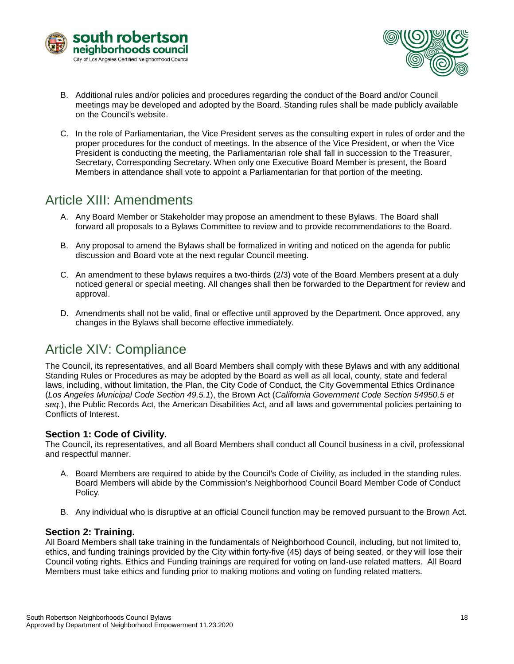



- B. Additional rules and/or policies and procedures regarding the conduct of the Board and/or Council meetings may be developed and adopted by the Board. Standing rules shall be made publicly available on the Council's website.
- C. In the role of Parliamentarian, the Vice President serves as the consulting expert in rules of order and the proper procedures for the conduct of meetings. In the absence of the Vice President, or when the Vice President is conducting the meeting, the Parliamentarian role shall fall in succession to the Treasurer, Secretary, Corresponding Secretary. When only one Executive Board Member is present, the Board Members in attendance shall vote to appoint a Parliamentarian for that portion of the meeting.

### <span id="page-17-0"></span>Article XIII: Amendments

- A. Any Board Member or Stakeholder may propose an amendment to these Bylaws. The Board shall forward all proposals to a Bylaws Committee to review and to provide recommendations to the Board.
- B. Any proposal to amend the Bylaws shall be formalized in writing and noticed on the agenda for public discussion and Board vote at the next regular Council meeting.
- C. An amendment to these bylaws requires a two-thirds (2/3) vote of the Board Members present at a duly noticed general or special meeting. All changes shall then be forwarded to the Department for review and approval.
- D. Amendments shall not be valid, final or effective until approved by the Department. Once approved, any changes in the Bylaws shall become effective immediately.

### <span id="page-17-1"></span>Article XIV: Compliance

The Council, its representatives, and all Board Members shall comply with these Bylaws and with any additional Standing Rules or Procedures as may be adopted by the Board as well as all local, county, state and federal laws, including, without limitation, the Plan, the City Code of Conduct, the City Governmental Ethics Ordinance (*Los Angeles Municipal Code Section 49.5.1*), the Brown Act (*California Government Code Section 54950.5 et seq*.), the Public Records Act, the American Disabilities Act, and all laws and governmental policies pertaining to Conflicts of Interest.

#### <span id="page-17-2"></span>**Section 1: Code of Civility.**

The Council, its representatives, and all Board Members shall conduct all Council business in a civil, professional and respectful manner.

- A. Board Members are required to abide by the Council's Code of Civility, as included in the standing rules. Board Members will abide by the Commission's Neighborhood Council Board Member Code of Conduct Policy.
- B. Any individual who is disruptive at an official Council function may be removed pursuant to the Brown Act.

#### <span id="page-17-3"></span>**Section 2: Training.**

All Board Members shall take training in the fundamentals of Neighborhood Council, including, but not limited to, ethics, and funding trainings provided by the City within forty-five (45) days of being seated, or they will lose their Council voting rights. Ethics and Funding trainings are required for voting on land-use related matters. All Board Members must take ethics and funding prior to making motions and voting on funding related matters.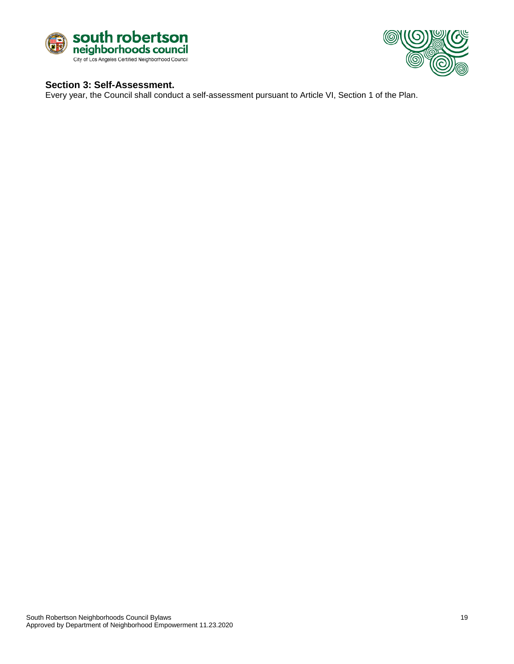



#### <span id="page-18-0"></span>**Section 3: Self-Assessment.**

Every year, the Council shall conduct a self-assessment pursuant to Article VI, Section 1 of the Plan.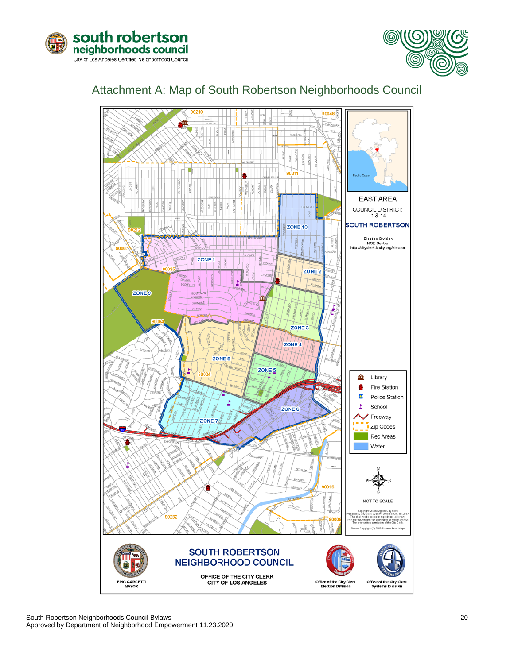



### <span id="page-19-0"></span>Attachment A: Map of South Robertson Neighborhoods Council

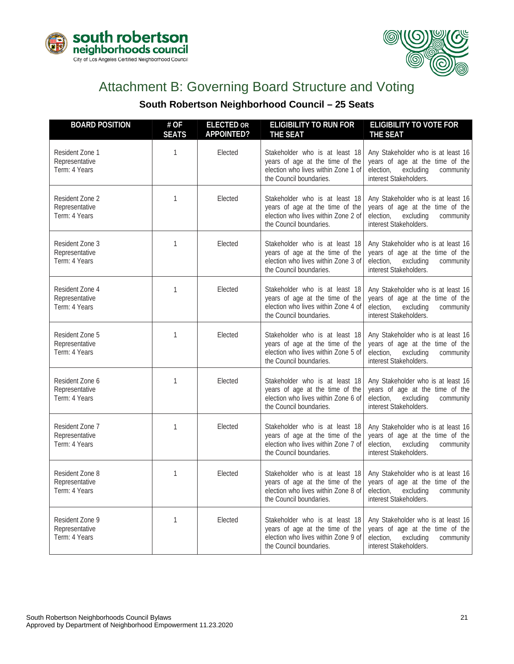



# Attachment B: Governing Board Structure and Voting

### **South Robertson Neighborhood Council – 25 Seats**

<span id="page-20-0"></span>

| <b>BOARD POSITION</b>                              | # OF<br><b>SEATS</b> | <b>ELECTED OR</b><br>APPOINTED? | <b>ELIGIBILITY TO RUN FOR</b><br><b>THE SEAT</b>                                                                                    | <b>ELIGIBILITY TO VOTE FOR</b><br><b>THE SEAT</b>                                                                                      |
|----------------------------------------------------|----------------------|---------------------------------|-------------------------------------------------------------------------------------------------------------------------------------|----------------------------------------------------------------------------------------------------------------------------------------|
| Resident Zone 1<br>Representative<br>Term: 4 Years | 1                    | Elected                         | Stakeholder who is at least 18<br>years of age at the time of the<br>election who lives within Zone 1 of<br>the Council boundaries. | Any Stakeholder who is at least 16<br>years of age at the time of the<br>election,<br>excluding<br>community<br>interest Stakeholders. |
| Resident Zone 2<br>Representative<br>Term: 4 Years | 1                    | Elected                         | Stakeholder who is at least 18<br>years of age at the time of the<br>election who lives within Zone 2 of<br>the Council boundaries. | Any Stakeholder who is at least 16<br>years of age at the time of the<br>election,<br>excluding<br>community<br>interest Stakeholders. |
| Resident Zone 3<br>Representative<br>Term: 4 Years | $\mathbf{1}$         | Elected                         | Stakeholder who is at least 18<br>years of age at the time of the<br>election who lives within Zone 3 of<br>the Council boundaries. | Any Stakeholder who is at least 16<br>years of age at the time of the<br>election,<br>excluding<br>community<br>interest Stakeholders. |
| Resident Zone 4<br>Representative<br>Term: 4 Years | 1                    | Elected                         | Stakeholder who is at least 18<br>years of age at the time of the<br>election who lives within Zone 4 of<br>the Council boundaries. | Any Stakeholder who is at least 16<br>years of age at the time of the<br>election,<br>excluding<br>community<br>interest Stakeholders. |
| Resident Zone 5<br>Representative<br>Term: 4 Years | 1                    | Elected                         | Stakeholder who is at least 18<br>years of age at the time of the<br>election who lives within Zone 5 of<br>the Council boundaries. | Any Stakeholder who is at least 16<br>years of age at the time of the<br>election,<br>excluding<br>community<br>interest Stakeholders. |
| Resident Zone 6<br>Representative<br>Term: 4 Years | 1                    | Elected                         | Stakeholder who is at least 18<br>years of age at the time of the<br>election who lives within Zone 6 of<br>the Council boundaries. | Any Stakeholder who is at least 16<br>years of age at the time of the<br>election,<br>excluding<br>community<br>interest Stakeholders. |
| Resident Zone 7<br>Representative<br>Term: 4 Years | $\mathbf{1}$         | Elected                         | Stakeholder who is at least 18<br>years of age at the time of the<br>election who lives within Zone 7 of<br>the Council boundaries. | Any Stakeholder who is at least 16<br>years of age at the time of the<br>election,<br>excluding<br>community<br>interest Stakeholders. |
| Resident Zone 8<br>Representative<br>Term: 4 Years | 1                    | Elected                         | Stakeholder who is at least 18<br>years of age at the time of the<br>election who lives within Zone 8 of<br>the Council boundaries. | Any Stakeholder who is at least 16<br>years of age at the time of the<br>election,<br>excluding<br>community<br>interest Stakeholders. |
| Resident Zone 9<br>Representative<br>Term: 4 Years | 1                    | Elected                         | Stakeholder who is at least 18<br>years of age at the time of the<br>election who lives within Zone 9 of<br>the Council boundaries. | Any Stakeholder who is at least 16<br>years of age at the time of the<br>excluding<br>election,<br>community<br>interest Stakeholders. |